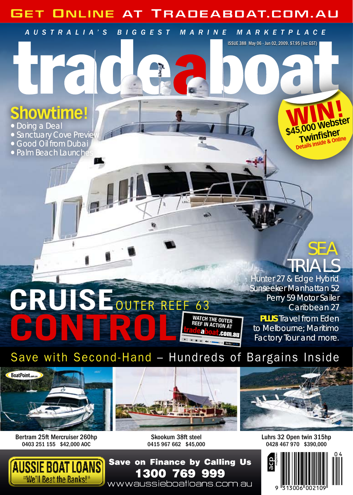# Get Online at Tradeaboat.com .au

*Austr a l i a 's Biggest M a rine M a rketpl a c e*

# **showtime!**

● Doing a Deal

- Sanctuary Cove Preview
- Good Oil from Dubai
- Palm Beach Launche

# SEA TRIALS

WIN!

Issue 388 May 06 - Jun 02, 2009. \$7.95 (Inc GST)

\$45,000 Webster **Twinfisher Details Inside** 

Hunter 27 & Edge Hybrid Sunseeker Manhattan 52 Perry 59 Motor Sailer Caribbean 27

**PLUS** Travel from Eden to Melbourne; Maritimo Factory Tour and more.

# Save with Second-Hand – Hundreds of Bargains Inside

**00:00 / 00:00**

**Watch the outer reef in action at** 

999

шŊ



**Cruise**

**CONTREEF 63** 

Bertram 25ft Mercruiser 260hp 0403 251 155 \$42,000 AOC



Skookum 38ft steel 0415 967 662 \$45,000

769

1300



Luhrs 32 Open twin 315hp 0428 467 970 \$390,000

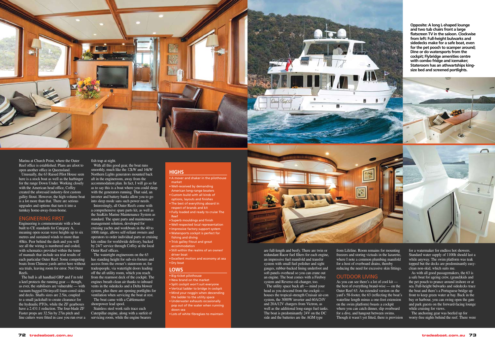**Opposite: A long L-shaped lounge and two tub chairs front a large flatscreen TV in the saloon. Clockwise from left: Full-height bulwarks and sidedecks make for a safe boat, even for the pet pooch to scamper around; Dine or do watersports from the cockpit; Flybridge amenities centre with combo fridge and icemaker; Stateroom has an athwartships kingsize bed and screened portlights.**



Marina at Church Point, where the Outer Reef office is established. Plans are afoot to open another office in Queensland. Unusually, the 63 Raised Pilot House seen here is a stock boat as well as the harbinger for the range Down Under. Working closely with the American head office, Coffey created the aforesaid industry-first custom galley fitout. However, the high-volume boat is a lot more than that. There are serious upgrades and options that turn it into a turnkey home-away-from-home.

### ENGINEERING FIRST

Engineering is commensurate with a boat built to CE standards for Category A, meaning open ocean wave heights up to six metres and sustained winds to more than 40kts. Peer behind the dash and you will see all the wiring is numbered and coded, with schematics provided within the tome of manuals that include sea trial results of each particular Outer Reef. Some competing boats from Chinese yards arrive here without sea trials, leaving room for error. Not Outer Reefs.

The hull is all handlaid GRP and I'm told a keel protects the running gear — though, as ever, the stabilisers are vulnerable — with vacuum-bagged Divinycell foam-cored sides and decks. Shafts sizes are 2.5in, coupled to a small jackshaft to create clearance for the hydraulic PTOs, while the ZF gearboxes have a 2.431:1 reduction. The four-blade ZF Faster props are 32.5in by 27in pitch and line cutters were fitted in case you run over a servicing room, while the engine bearers

#### fish trap at night.

With all this good gear, the boat runs smoothly, much like the 12kW and 16kW Northern Lights generators mounted back aft in the engineroom, away from the accommodation plan. In fact, I will go so far as to say this is a boat where you could sleep with the generators running. That said, an inverter and battery banks allow you to go into sleep mode sans such power needs. Interestingly, all Outer Reefs come with a comprehensive spare parts kit, as well as the SeaKits Marine Maintenance System as standard. The spare parts and maintenance management solution, developed for cruising yachts and workboats in the 40 to 100ft range, allows self-reliant owners and operators to order individual parts or cruising kits online for worldwide delivery, backed by 24/7 service through Coffey at the local Outer Reef offices.

The watertight engineroom on the 63 has standing height for sub-six-footers and access from the owner's stateroom or, for tradespeople, via watertight doors leading off the aft utility room, which you reach from the rearmost deck of the cockpit. The engines breath clean air thanks to inboard vents in the sidedecks and a Delta blower system, plus there are opening portlights for ventilation when servicing the boat at rest. The boat came with a Cablemaster shorepower lead spool. Stainless steel work rails trace each Caterpillar engine, along with a surfeit of

## **HIGHS**

- A mover and shaker in the pilothouse market
- Well-received by demanding American long-range boaters • Custom build with all kinds of options, layouts and finishes • The best of everything aboard in respect of brands and kit
- Fully loaded and ready to cruise The Reef
- Superb mouldings and finish • Well-respected local representation • Impressive factory support system • Watersports cockpit is perfect for fishing and diving
- Trick galley fitout and great accommodation
- Still within the realms of an owner/ driver boat
- Excellent motion and economy at sea • Dry boat

#### **LOWS**

- Big-ticket pilothouse • New brand on the market • Split cockpit won't suit everyone • Vertical ladder to bridge in cockpit • Mind your noggin when descending the ladder to the utility space • Underwater exhausts occasionally pop out of the water when running down sea
- Lots of white fibreglass to maintain



are full-length and beefy. There are twin or redundant Racor fuel filters for each engine, an impressive fuel manifold and transfer system with small fuel polisher and sight gauges, rubber-backed lining underfoot and soft panels overhead so you can crane out an engine. The boat comes with a Fireboy system and Reverso oil-changer, too. The utility space back  $aft$  — mind your head as you descend from the cockpit houses the tropical-strength Cruisair air-con system, the 3000W inverter and 60A/24V and 20A/12V chargers from Victron, as well as the additional long-range fuel tanks. The boat is predominantly 24V on the DC side and the batteries are the AGM type

from Lifeline. Room remains for mounting freezers and storing victuals in the lazarette, where I note a common plumbing manifold for a host of overboard drains, thereby reducing the need for excessive skin fittings.

### OUTDOOR LIVING

As you can see there's a lot of cool kit the best of everything brand-wise — on the Outer Reef 63. An extended version on the yard's 58-footer, the 63 (reflecting the boat's waterline length minus a one-foot extension on the swim platform) boasts a cockpit where you can catch dinner, slip overboard for a dive, and hangout between swims. Though it wasn't yet fitted, there is provision

for a watermaker for endless hot showers. Standard water supply of 1100lt should last a while anyway. The swim platform was teak topped but the decks are predominantly easyclean non-skid, which suits me.

As with all good passagemakers, the 63 is a safe boat for ageing crew, (grand)kids and the pet pouch to prance around inshore or at sea. Full-height bulwarks and sidedecks trace the boat and there's a Portuguese bridge up front to keep green water at bay. Back in the bay or harbour, you can swing open the gate and park guests on the forward-facing lounge while cruising for views.

The anchoring gear was beefed up for worry-free nights behind the reef. There were